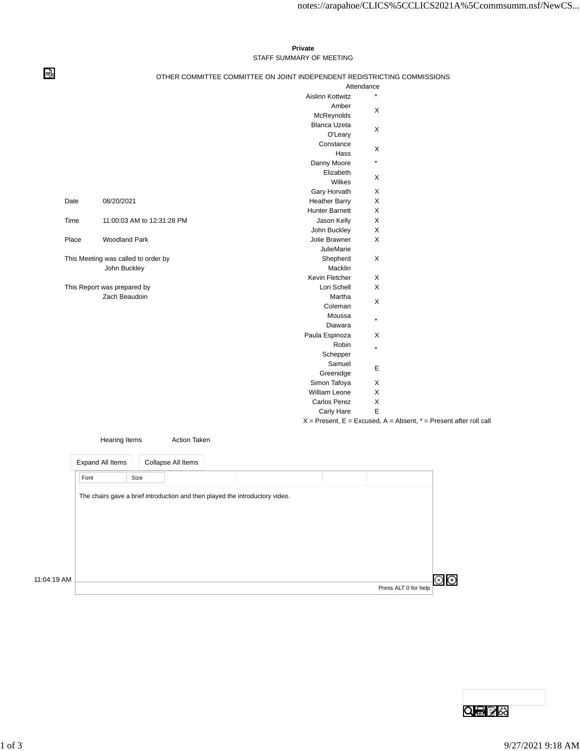## **Private** STAFF SUMMARY OF MEETING

⇛

## OTHER COMMITTEE COMMITTEE ON JOINT INDEPENDENT REDISTRICTING COMMISSIONS

|                             |                                     |                         | Attendance                                                            |  |
|-----------------------------|-------------------------------------|-------------------------|-----------------------------------------------------------------------|--|
|                             |                                     | <b>Aislinn Kottwitz</b> |                                                                       |  |
|                             |                                     | Amber                   |                                                                       |  |
|                             |                                     | McReynolds              | X                                                                     |  |
|                             |                                     | <b>Blanca Uzeta</b>     |                                                                       |  |
|                             |                                     | O'Leary                 | X                                                                     |  |
|                             |                                     | Constance               |                                                                       |  |
|                             |                                     | Hass                    | X                                                                     |  |
|                             |                                     | Danny Moore             | $\star$                                                               |  |
|                             |                                     | Elizabeth               |                                                                       |  |
|                             |                                     | Wilkes                  | X                                                                     |  |
|                             |                                     | Gary Horvath            | X                                                                     |  |
| Date                        | 08/20/2021                          | <b>Heather Barry</b>    | X                                                                     |  |
|                             |                                     | <b>Hunter Barnett</b>   | X                                                                     |  |
| Time                        | 11:00:03 AM to 12:31:28 PM          | Jason Kelly             | X                                                                     |  |
|                             |                                     | John Buckley            | X                                                                     |  |
| Place                       | <b>Woodland Park</b>                | Jolie Brawner           | X                                                                     |  |
|                             |                                     | <b>JulieMarie</b>       |                                                                       |  |
|                             | This Meeting was called to order by | Shepherd                | X                                                                     |  |
|                             | John Buckley                        | Macklin                 |                                                                       |  |
|                             |                                     | Kevin Fletcher          | X                                                                     |  |
| This Report was prepared by |                                     | Lori Schell             | X                                                                     |  |
|                             | Zach Beaudoin                       | Martha                  |                                                                       |  |
|                             |                                     | Coleman                 | X                                                                     |  |
|                             |                                     | Moussa                  |                                                                       |  |
|                             |                                     | Diawara                 | $\star$                                                               |  |
|                             |                                     | Paula Espinoza          | X                                                                     |  |
|                             |                                     | Robin                   | $\star$                                                               |  |
|                             |                                     | Schepper                |                                                                       |  |
|                             |                                     | Samuel                  |                                                                       |  |
|                             |                                     | Greenidge               | Е                                                                     |  |
|                             |                                     | Simon Tafoya            | X                                                                     |  |
|                             |                                     | William Leone           | X                                                                     |  |
|                             |                                     | Carlos Perez            | X                                                                     |  |
|                             |                                     | Carly Hare              | E                                                                     |  |
|                             |                                     |                         | $X =$ Present, E = Excused, A = Absent, $* =$ Present after roll call |  |
|                             |                                     |                         |                                                                       |  |

|             | <b>Hearing Items</b>                                                         |      | <b>Action Taken</b> |  |  |                      |     |
|-------------|------------------------------------------------------------------------------|------|---------------------|--|--|----------------------|-----|
|             | Expand All Items                                                             |      | Collapse All Items  |  |  |                      |     |
|             | Font                                                                         | Size |                     |  |  |                      |     |
|             | The chairs gave a brief introduction and then played the introductory video. |      |                     |  |  |                      |     |
|             |                                                                              |      |                     |  |  |                      |     |
|             |                                                                              |      |                     |  |  |                      |     |
|             |                                                                              |      |                     |  |  |                      |     |
|             |                                                                              |      |                     |  |  |                      |     |
| 11:04:19 AM |                                                                              |      |                     |  |  |                      | IG) |
|             |                                                                              |      |                     |  |  | Press ALT 0 for help |     |

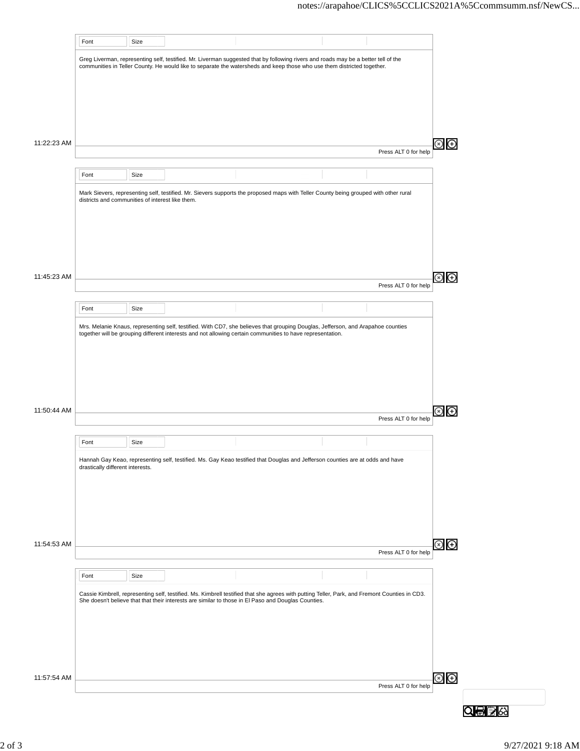|             | Font                                             | Size |                                                                                                                                                                                                                                                               |                      |               |
|-------------|--------------------------------------------------|------|---------------------------------------------------------------------------------------------------------------------------------------------------------------------------------------------------------------------------------------------------------------|----------------------|---------------|
|             |                                                  |      | Greg Liverman, representing self, testified. Mr. Liverman suggested that by following rivers and roads may be a better tell of the<br>communities in Teller County. He would like to separate the watersheds and keep those who use them districted together. |                      |               |
|             |                                                  |      |                                                                                                                                                                                                                                                               |                      |               |
|             |                                                  |      |                                                                                                                                                                                                                                                               |                      |               |
| 11:22:23 AM |                                                  |      |                                                                                                                                                                                                                                                               | Press ALT 0 for help | $\bigoplus$   |
|             | Font                                             | Size |                                                                                                                                                                                                                                                               |                      |               |
|             |                                                  |      | Mark Sievers, representing self, testified. Mr. Sievers supports the proposed maps with Teller County being grouped with other rural                                                                                                                          |                      |               |
|             | districts and communities of interest like them. |      |                                                                                                                                                                                                                                                               |                      |               |
|             |                                                  |      |                                                                                                                                                                                                                                                               |                      |               |
|             |                                                  |      |                                                                                                                                                                                                                                                               |                      |               |
| 11:45:23 AM |                                                  |      |                                                                                                                                                                                                                                                               |                      | $\bigoplus$   |
|             |                                                  |      |                                                                                                                                                                                                                                                               | Press ALT 0 for help |               |
|             | Font                                             | Size | Mrs. Melanie Knaus, representing self, testified. With CD7, she believes that grouping Douglas, Jefferson, and Arapahoe counties                                                                                                                              |                      |               |
|             |                                                  |      | together will be grouping different interests and not allowing certain communities to have representation.                                                                                                                                                    |                      |               |
|             |                                                  |      |                                                                                                                                                                                                                                                               |                      |               |
|             |                                                  |      |                                                                                                                                                                                                                                                               |                      |               |
| 11:50:44 AM |                                                  |      |                                                                                                                                                                                                                                                               |                      | $\bigoplus$   |
|             |                                                  |      |                                                                                                                                                                                                                                                               | Press ALT 0 for help |               |
|             | Font                                             | Size |                                                                                                                                                                                                                                                               |                      |               |
|             | drastically different interests.                 |      | Hannah Gay Keao, representing self, testified. Ms. Gay Keao testified that Douglas and Jefferson counties are at odds and have                                                                                                                                |                      |               |
|             |                                                  |      |                                                                                                                                                                                                                                                               |                      |               |
|             |                                                  |      |                                                                                                                                                                                                                                                               |                      |               |
| 11:54:53 AM |                                                  |      |                                                                                                                                                                                                                                                               |                      | ව<br>ල        |
|             |                                                  |      |                                                                                                                                                                                                                                                               | Press ALT 0 for help |               |
|             | Font                                             | Size |                                                                                                                                                                                                                                                               |                      |               |
|             |                                                  |      | Cassie Kimbrell, representing self, testified. Ms. Kimbrell testified that she agrees with putting Teller, Park, and Fremont Counties in CD3.<br>She doesn't believe that that their interests are similar to those in El Paso and Douglas Counties.          |                      |               |
|             |                                                  |      |                                                                                                                                                                                                                                                               |                      |               |
|             |                                                  |      |                                                                                                                                                                                                                                                               |                      |               |
|             |                                                  |      |                                                                                                                                                                                                                                                               |                      |               |
| 11:57:54 AM |                                                  |      |                                                                                                                                                                                                                                                               | Press ALT 0 for help | $\circledast$ |
|             |                                                  |      |                                                                                                                                                                                                                                                               |                      |               |